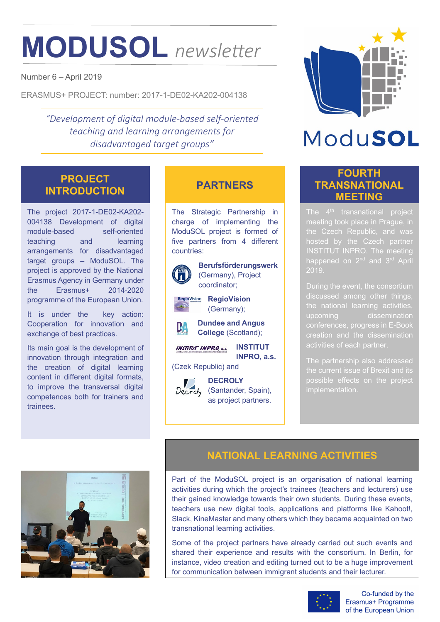# **MODUSOL** *newsletter*

Number 6 – April 2019

ERASMUS+ PROJECT: number: 2017-1-DE02-KA202-004138

*"Development of digital module-based self-oriented teaching and learning arrangements for disadvantaged target groups"*

### **PROJECT INTRODUCTION PARTNERS**

The project 2017-1-DE02-KA202- 004138 Development of digital module-based self-oriented teaching and learning arrangements for disadvantaged target groups – ModuSOL. The project is approved by the National Erasmus Agency in Germany under the Erasmus+ 2014-2020 programme of the European Union.

It is under the key action: Cooperation for innovation and exchange of best practices.

Its main goal is the development of innovation through integration and the creation of digital learning content in different digital formats, to improve the transversal digital competences both for trainers and trainees.

The Strategic Partnership in charge of implementing the ModuSOL project is formed of five partners from 4 different countries:



**Berufsförderungswerk** (Germany), Project coordinator;

**RegioVision RegioVision** (Germany);



**INSTITUT INSTITUT INPRO, a.s. INPRO, a.s.**

(Czek Republic) and

**DECROLY** Decroly (Santander, Spain), as project partners.



## ModuSOL

### **FOURTH TRANSNATIONAL MEETING**

meeting took place in Prague, in hosted by the Czech partner INSTITUT INPRO. The meeting 2019.

discussed among other things, conferences, progress in E-Book

implementation.



### **NATIONAL LEARNING ACTIVITIES**

Part of the ModuSOL project is an organisation of national learning activities during which the project's trainees (teachers and lecturers) use their gained knowledge towards their own students. During these events, teachers use new digital tools, applications and platforms like Kahoot!, Slack, KineMaster and many others which they became acquainted on two transnational learning activities.

Some of the project partners have already carried out such events and shared their experience and results with the consortium. In Berlin, for instance, video creation and editing turned out to be a huge improvement for communication between immigrant students and their lecturer.



Co-funded by the Erasmus+ Programme of the European Union